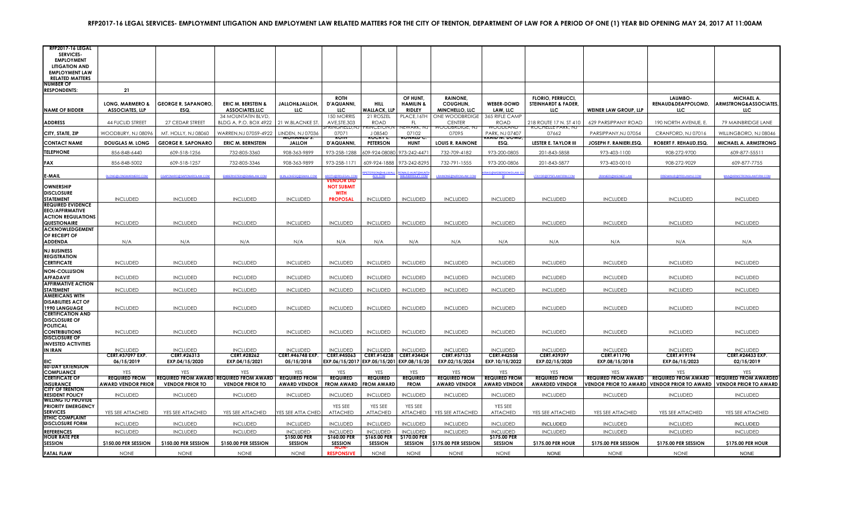| <b>RFP2017-16 LEGAL</b>                            |                              |                            |                                                       |                                       |                                           |                                 |                                  |                                        |                                    |                                                            |                              |                               |                                                  |
|----------------------------------------------------|------------------------------|----------------------------|-------------------------------------------------------|---------------------------------------|-------------------------------------------|---------------------------------|----------------------------------|----------------------------------------|------------------------------------|------------------------------------------------------------|------------------------------|-------------------------------|--------------------------------------------------|
| <b>SERVICES-</b><br><b>EMPLOYMENT</b>              |                              |                            |                                                       |                                       |                                           |                                 |                                  |                                        |                                    |                                                            |                              |                               |                                                  |
| <b>LITIGATION AND</b>                              |                              |                            |                                                       |                                       |                                           |                                 |                                  |                                        |                                    |                                                            |                              |                               |                                                  |
| <b>EMPLOYMENT LAW</b><br><b>RELATED MATTERS</b>    |                              |                            |                                                       |                                       |                                           |                                 |                                  |                                        |                                    |                                                            |                              |                               |                                                  |
| <b>NUMBER OF</b>                                   |                              |                            |                                                       |                                       |                                           |                                 |                                  |                                        |                                    |                                                            |                              |                               |                                                  |
| <b>RESPONDENTS:</b>                                | 21                           |                            |                                                       |                                       |                                           |                                 |                                  |                                        |                                    |                                                            |                              |                               |                                                  |
|                                                    | LONG, MARMERO &              | <b>GEORGE R. SAPANORO,</b> | <b>ERIC M. BERSTEIN &amp;</b>                         | JALLOH&JALLOH,                        | <b>ROTH</b><br>D'AQUANNI.                 | <b>HILL</b>                     | OF HUNT.<br><b>HAMILIN &amp;</b> | <b>RAINONE.</b><br>COUGHLIN,           | <b>WEBER-DOWD</b>                  | <b>FLORIO, PERRUCCI,</b><br><b>STEINHARDT &amp; FADER,</b> |                              | LAUMBO-<br>RENAUD&DEAPPOLOMD. | <b>MICHAEL A.</b><br>ARMSTRONG&ASSOCIATES,       |
| <b>NAME OF BIDDER</b>                              | <b>ASSOCIATES, LLP</b>       | ESQ.                       | <b>ASSOCIATES,LLC</b>                                 | LLC.                                  | LLC.                                      | <b>WALLACK, LLP</b>             | RIDLEY                           | MINCHELLO, LLC                         | LAW, LLC                           | LLC.                                                       | <b>WEINER LAW GROUP, LLP</b> | LLC.                          | LLC.                                             |
|                                                    |                              |                            | 34 MOUNTATIN BLVD,                                    |                                       | 150 MORRIS                                | 21 ROSZEL                       | PLACE, 16TH                      | ONE WOODBRDIGE                         | 365 RIFLE CAMP                     |                                                            |                              |                               |                                                  |
| <b>ADDRESS</b>                                     | <b>44 FUCLID STREET</b>      | 27 CEDAR STREET            | BLDG A, P.O. BOX 4922                                 | 21 W.BLACNKE ST.                      | AVE, STE. 303<br>PRINGFIELD,NJ            | <b>ROAD</b><br>PRINCEION,N      | -FL<br>NEWARK, NJ                | <b>CENTER</b><br><b>WOODBRDIGE, NJ</b> | ROAD<br>WUUDLAND                   | 218 ROUTE 17 N. ST 410<br><b>KOCHELLE PARK, NJ</b>         | 629 PARSIPPANY ROAD          | 190 NORTH AVENUE, E.          | 79 MAINBRIDGE LANE                               |
| CITY, STATE, ZIP                                   | WOODBURY, NJ 08096           | MT. HOLLY, NJ 08060        | WARREN, NJ 07059-4922                                 | LINDEN, NJ 07036<br><b>MUNAMED 3.</b> | 07071<br>זוטה                             | J08540<br><b>RUGRT</b>          | 07102<br>י טוזאנט                | 07095                                  | PARK, NJ 07407<br><b>UWW. עווא</b> | 07662                                                      | PARSIPPANY,NJ 07054          | CRANFORD, NJ 07016            | WILLINGBORO, NJ 08046                            |
| <b>CONTACT NAME</b>                                | <b>DOUGLAS M. LONG</b>       | <b>GEORGE R. SAPONARO</b>  | <b>ERIC M. BERNSTEIN</b>                              | <b>JALLOH</b>                         | D'AQUANNI,                                | <b>PETERSON</b>                 | <b>HUNT</b>                      | <b>LOUIS R. RAINONE</b>                | ESQ.                               | <b>LESTER E. TAYLOR III</b>                                | JOSEPH F. RANIERI, ESQ.      | ROBERT F. REHAUD, ESQ.        | MICHAEL A. ARMSTRONG                             |
| <b>TELEPHONE</b>                                   | 856-848-6440                 | 609-518-1256               | 732-805-3360                                          | 908-363-9899                          | 973-258-1288                              | 609-924-08080 973-242-4471      |                                  | 732-709-4182                           | 973-200-0805                       | 201-843-5858                                               | 973-403-1100                 | 908-272-9700                  | 609-877-55511                                    |
| <b>FAX</b>                                         | 856-848-5002                 | 609-518-1257               | 732-805-3346                                          | 908-363-9899                          | 973-258-1171                              | 609-924-1888                    | 973-242-8295                     | 732-791-1555                           | 973-200-0806                       | 201-843-5877                                               | 973-403-0010                 | 908-272-9029                  | 609-877-7755                                     |
| <b>F-MAIL</b>                                      | <b>DLONG@LONGMARMERO.COM</b> | GSAPONARO@SAPONAROLAW.COM  | EMBERNSTEIN@EMBALAW.COM                               | MJALLOHESQ@GMAIL.COM                  | <b>ROTH@RDI FGAL COL</b>                  | PETERSON@HILLWAL                | RONALD.HUNT@HUNTH                | LRAINONE@NJRCMLAW.COM                  | <b>NG@WEBERDOWDLAW.</b><br>M       | LTAYOR@FPSFLAWFIRM.COM                                     | JRANIERI@WEINER.LAW          | RRENANUD@PRDLAWNJ.COM         | MAA@ARMSTRONGLAWFIRM.COI                         |
| <b>OWNERSHIP</b>                                   |                              |                            |                                                       |                                       | <b>VENDOR DID</b><br><b>NOT SUBMIT</b>    |                                 |                                  |                                        |                                    |                                                            |                              |                               |                                                  |
| <b>DISCLOSURE</b>                                  |                              |                            |                                                       |                                       | <b>WITH</b>                               |                                 |                                  |                                        |                                    |                                                            |                              |                               |                                                  |
| <b>STATEMENT</b><br><b>REQUIRED EVIDENCE</b>       | <b>INCLUDED</b>              | <b>INCLUDED</b>            | <b>INCLUDED</b>                                       | <b>INCLUDED</b>                       | <b>PROPOSAL</b>                           | <b>INCLUDED</b>                 | <b>INCLUDED</b>                  | <b>INCLUDED</b>                        | <b>INCLUDED</b>                    | <b>INCLUDED</b>                                            | <b>INCLUDED</b>              | <b>INCLUDED</b>               | <b>INCLUDED</b>                                  |
| <b>EEO/AFFIRMATIVE</b>                             |                              |                            |                                                       |                                       |                                           |                                 |                                  |                                        |                                    |                                                            |                              |                               |                                                  |
| <b>ACTION REGULATIONS</b><br>QUESTIONAIRE          | <b>INCLUDED</b>              | <b>INCLUDED</b>            | <b>INCLUDED</b>                                       | <b>INCLUDED</b>                       | <b>INCLUDED</b>                           | <b>INCLUDED</b>                 | <b>INCLUDED</b>                  | <b>INCLUDED</b>                        | <b>INCLUDED</b>                    | <b>INCLUDED</b>                                            | <b>INCLUDED</b>              | <b>INCLUDED</b>               | <b>INCLUDED</b>                                  |
| <b>ACKNOWLEDGEMENT</b>                             |                              |                            |                                                       |                                       |                                           |                                 |                                  |                                        |                                    |                                                            |                              |                               |                                                  |
| OF RECEIPT OF                                      |                              |                            |                                                       |                                       |                                           |                                 |                                  |                                        |                                    |                                                            |                              |                               |                                                  |
| <b>ADDENDA</b>                                     | N/A                          | N/A                        | N/A                                                   | N/A                                   | N/A                                       | N/A                             | N/A                              | N/A                                    | N/A                                | N/A                                                        | N/A                          | N/A                           | N/A                                              |
| <b>NJ BUSINESS</b><br><b>REGISTRATION</b>          |                              |                            |                                                       |                                       |                                           |                                 |                                  |                                        |                                    |                                                            |                              |                               |                                                  |
| <b>CERTIFICATE</b>                                 | <b>INCLUDED</b>              | <b>INCLUDED</b>            | <b>INCLUDED</b>                                       | <b>INCLUDED</b>                       | <b>INCLUDED</b>                           | <b>INCLUDED</b>                 | <b>INCLUDED</b>                  | <b>INCLUDED</b>                        | <b>INCLUDED</b>                    | <b>INCLUDED</b>                                            | <b>INCLUDED</b>              | <b>INCLUDED</b>               | <b>INCLUDED</b>                                  |
| <b>NON-COLLUSION</b>                               |                              |                            |                                                       |                                       |                                           |                                 |                                  |                                        |                                    |                                                            |                              |                               |                                                  |
| <b>AFFADAVIT</b><br><b>AFFIRMATIVE ACTION</b>      | <b>INCLUDED</b>              | <b>INCLUDED</b>            | <b>INCLUDED</b>                                       | <b>INCLUDED</b>                       | <b>INCLUDED</b>                           | <b>INCLUDED</b>                 | <b>INCLUDED</b>                  | <b>INCLUDED</b>                        | <b>INCLUDED</b>                    | <b>INCLUDED</b>                                            | <b>INCLUDED</b>              | <b>INCLUDED</b>               | <b>INCLUDED</b>                                  |
| <b>STATEMENT</b>                                   | <b>INCLUDED</b>              | <b>INCLUDED</b>            | <b>INCLUDED</b>                                       | <b>INCLUDED</b>                       | <b>INCLUDED</b>                           | <b>INCLUDED</b>                 | <b>INCLUDED</b>                  | <b>INCLUDED</b>                        | <b>INCLUDED</b>                    | <b>INCLUDED</b>                                            | <b>INCLUDED</b>              | <b>INCLUDED</b>               | <b>INCLUDED</b>                                  |
| <b>AMERICANS WITH</b>                              |                              |                            |                                                       |                                       |                                           |                                 |                                  |                                        |                                    |                                                            |                              |                               |                                                  |
| <b>DISABILITIES ACT OF</b><br>1990 LANGUAGE        | <b>INCLUDED</b>              | <b>INCLUDED</b>            | <b>INCLUDED</b>                                       | <b>INCLUDED</b>                       | <b>INCLUDED</b>                           | <b>INCLUDED</b>                 | <b>INCLUDED</b>                  | <b>INCLUDED</b>                        | <b>INCLUDED</b>                    | <b>INCLUDED</b>                                            | <b>INCLUDED</b>              | <b>INCLUDED</b>               | <b>INCLUDED</b>                                  |
| <b>CERTIFICATION AND</b>                           |                              |                            |                                                       |                                       |                                           |                                 |                                  |                                        |                                    |                                                            |                              |                               |                                                  |
| <b>DISCLOSURE OF</b><br><b>POLITICAL</b>           |                              |                            |                                                       |                                       |                                           |                                 |                                  |                                        |                                    |                                                            |                              |                               |                                                  |
| <b>CONTRIBUTIONS</b>                               | <b>INCLUDED</b>              | <b>INCLUDED</b>            | <b>INCLUDED</b>                                       | <b>INCLUDED</b>                       | <b>INCLUDED</b>                           | <b>INCLUDED</b>                 | <b>INCLUDED</b>                  | <b>INCLUDED</b>                        | <b>INCLUDED</b>                    | <b>INCLUDED</b>                                            | <b>INCLUDED</b>              | <b>INCLUDED</b>               | <b>INCLUDED</b>                                  |
| <b>DISCLOSURE OF</b><br><b>INVESTED ACTIVITIES</b> |                              |                            |                                                       |                                       |                                           |                                 |                                  |                                        |                                    |                                                            |                              |                               |                                                  |
| <b>IN IRAN</b>                                     | <b>INCLUDED</b>              | <b>INCLUDED</b>            | <b>INCLUDED</b>                                       | <b>INCLUDED</b>                       | <b>INCLUDED</b>                           | <b>INCLUDED</b>                 | <b>INCLUDED</b>                  | <b>INCLUDED</b>                        | <b>INCLUDED</b>                    | <b>INCLUDED</b>                                            | <b>INCLUDED</b>              | <b>INCLUDED</b>               | <b>INCLUDED</b>                                  |
|                                                    | <b>CERT.#37097 EXP.</b>      | CERT.#26313                | CERT.#28262                                           | <b>CERT.#46748 EXP.</b>               | CERT.#45063                               | CERT.#14238 CERT.#34424         |                                  | CERT.#57133                            | CERT.#42558                        | CERT.#39397                                                | CERT.#11790                  | CERT.#19194                   | <b>CERT.#24433 EXP.</b>                          |
| <b>60-DAY EXTENSION</b>                            | 06/15/2019                   | EXP.04/15/2020             | EXP.04/15/2021                                        | 05/15/2018                            | EXP.06/15/2017 EXP.05/15/201 EXP.08/15/20 |                                 |                                  | EXP.02/15/2024                         | EXP.10/15/2022                     | EXP.02/15/2020                                             | EXP.08/15/2018               | EXP.06/15/2023                | 02/15/2019                                       |
| <b>COMPLIANCE</b><br><b>CERTIFICATE OF</b>         | <b>REQUIRED FROM</b>         |                            | YFS<br><b>REQUIRED FROM AWARD REQUIRED FROM AWARD</b> | <b>REQUIRED FROM</b>                  | YFS<br><b>REQUIRED</b>                    | <b>YFS</b><br><b>REQUIRED</b>   | <b>YFS</b><br><b>REQUIRED</b>    | <b>REQUIRED FROM</b>                   | <b>YFS</b><br><b>REQUIRED FROM</b> | <b>REQUIRED FROM</b>                                       | <b>REQUIRED FROM AWARD</b>   | <b>YFS</b>                    | <b>REQUIRED FROM AWARD REQUIRED FROM AWARDED</b> |
| <b>INSURANCE</b>                                   | <b>AWARD VENDOR PRIOR</b>    | <b>VENDOR PRIOR TO</b>     | <b>VENDOR PRIOR TO</b>                                | <b>AWARD VENDOR</b>                   | <b>FROM AWARD</b>                         | <b>FROM AWARD</b>               | <b>FROM</b>                      | <b>AWARD VENDOR</b>                    | <b>AWARD VENDOR</b>                | <b>AWARDED VENDOR</b>                                      | <b>VENDOR PRIOR TO AWARD</b> | <b>VENDOR PRIOR TO AWARD</b>  | <b>VENDOR PRIOR TO AWARD</b>                     |
| <b>CITY OF TRENTON</b><br><b>RESIDENT POLICY</b>   | <b>INCLUDED</b>              | <b>INCLUDED</b>            | <b>INCLUDED</b>                                       | <b>INCLUDED</b>                       | <b>INCLUDED</b>                           | <b>INCLUDED</b>                 | <b>INCLUDED</b>                  | <b>INCLUDED</b>                        | <b>INCLUDED</b>                    | <b>INCLUDED</b>                                            | <b>INCLUDED</b>              | <b>INCLUDED</b>               | <b>INCLUDED</b>                                  |
| <b>WILLING TO PROVIDE</b>                          |                              |                            |                                                       |                                       |                                           |                                 |                                  |                                        |                                    |                                                            |                              |                               |                                                  |
| <b>PRIORITY EMERGENCY</b><br><b>SERVICES</b>       | YES SEE ATTACHED             | YES SEE ATTACHED           | YES SEE ATTACHED                                      | YES SEE ATTA CHED                     | YES SEE<br><b>ATTACHED</b>                | YES SEE<br>ATTACHED             | YES SEE<br>ATTACHED              | YES SEE ATTACHED                       | YES SEE<br><b>ATTACHED</b>         | YES SEE ATTACHED                                           | YES SEE ATTACHED             | YES SEE ATTACHED              | YES SEE ATTACHED                                 |
| <b>ETHIC COMPLAINT</b>                             |                              |                            |                                                       |                                       |                                           |                                 |                                  |                                        |                                    |                                                            |                              |                               |                                                  |
| <b>DISCLOSURE FORM</b><br><b>REFERENCES</b>        | <b>INCLUDED</b>              | <b>INCLUDED</b>            | <b>INCLUDED</b>                                       | <b>INCLUDED</b>                       | <b>INCLUDED</b>                           | <b>INCLUDED</b>                 | <b>INCLUDED</b>                  | <b>INCLUDED</b>                        | <b>INCLUDED</b>                    | <b>INCLUDED</b>                                            | <b>INCLUDED</b>              | <b>INCLUDED</b>               | <b>INCLUDED</b>                                  |
| <b>HOUR RATE PER</b>                               | <b>INCLUDED</b>              | <b>INCLUDED</b>            | <b>INCLUDED</b>                                       | <b>INCLUDED</b><br>\$150.00 PER       | <b>INCLUDED</b><br>\$160.00 PER           | <b>INCLUDED</b><br>\$165.00 PER | <b>INCLUDED</b><br>\$170.00 PER  | <b>INCLUDED</b>                        | <b>INCLUDED</b><br>\$175.00 PER    | <b>INCLUDED</b>                                            | <b>INCLUDED</b>              | <b>INCLUDED</b>               | <b>INCLUDED</b>                                  |
| <b>SESSION</b>                                     | \$150.00 PER SESSION         | \$150.00 PER SESSION       | \$150.00 PER SESSION                                  | <b>SESSION</b>                        | <b>SESSION</b>                            | <b>SESSION</b>                  | SESSION                          | \$175.00 PER SESSION                   | <b>SESSION</b>                     | \$175.00 PER HOUR                                          | \$175.00 PER SESSION         | \$175.00 PER SESSION          | \$175.00 PER HOUR                                |
| <b>FATAL FLAW</b>                                  | <b>NONE</b>                  | <b>NONE</b>                | <b>NONE</b>                                           | <b>NONE</b>                           | <b>RESPONSIVE</b>                         | <b>NONE</b>                     | <b>NONE</b>                      | <b>NONE</b>                            | <b>NONE</b>                        | <b>NONE</b>                                                | <b>NONE</b>                  | <b>NONE</b>                   | <b>NONE</b>                                      |